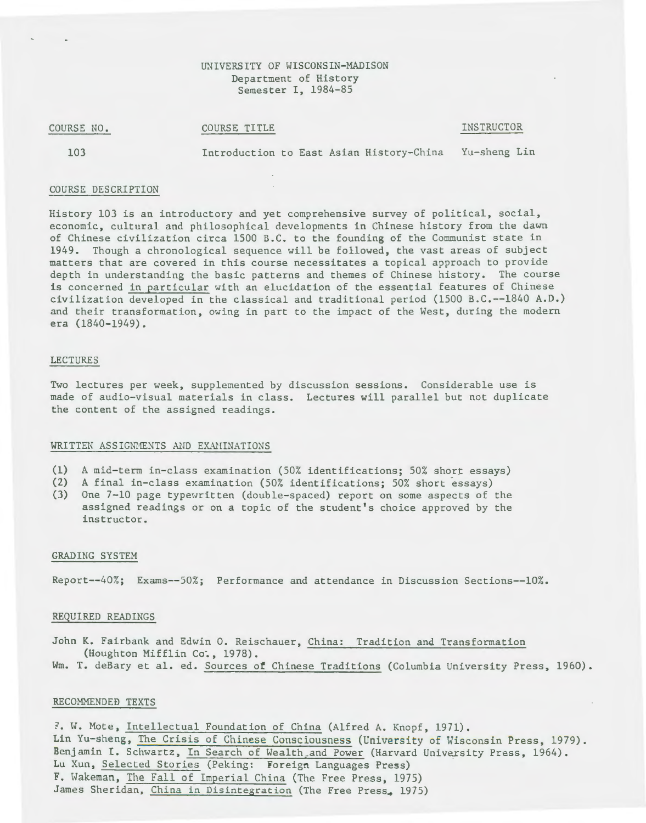# UNIVERSITY OF WISCONSIN-MADISON Department of History Semester I, 1984-85

COURSE NO.

COURSE TITLE

INSTRUCTOR

103

Introduction to East Asian History-China Yu-sheng Lin

## COURSE DESCRIPTION

History 103 is an introductory and yet comprehensive survey of political, social, economic, cultural and philosophical developments in Chinese history from the dawn of Chinese civilization circa 1500 B.C. to the founding of the Communist state in 1949. Though a chronological sequence will be followed, the vast areas of subject matters that are covered in this course necessitates a topical approach to provide depth in understanding the basic patterns and themes of Chinese history. The course is concerned in particular with an elucidation of the essential features of Chinese civilization developed in the classical and traditional period (1500 B.C.--1840 A.D.) and their transformation, owing in part to the impact of the West, during the modern era (1840-1949).

#### LECTURES

Two lectures per week, supplemented by discussion sessions. Considerable use is made of audio-visual materials in class. Lectures will parallel but not duplicate the content of the assigned readings.

## WRITTEN ASSIGNMENTS AND EXAMINATIONS

- (1) A mid-term in-class examination (50% identifications; 50% short essays)
- (2) A final in-class examination (50% identifications; 50% short essays)
- (3) One 7-10 page typewritten (double-spaced) report on some aspects of the assigned readings or on a topic of the student's choice approved by the instructor.

### GRADING SYSTEH

Report--40%; Exams--50%; Performance and attendance in Discussion Sections--10%.

#### REQUIRED READINGS

John K. Fairbank and Edwin O. Reischauer, China: Tradition and Transformation (Houghton Mifflin Co~, 1978). Wm. T. deBary et al. ed. Sources of Chinese Traditions (Columbia University Press, 1960).

#### RECOMMENDEB TEXTS

7. W. Mote, Intellectual Foundation of China (Alfred A. Knopf, 1971). Lin Yu-sheng, The Crisis of Chinese Consciousness (University of Wisconsin Press, 1979). Benjamin I. Schwartz, In Search of Wealth\_and Power (Harvard University Press, 1964). Lu Xun, Selected Stories (Peking: foreign Languages Press) F. Wakeman, The Fall of Imperial China (The Free Press, 1975) James Sheridan, China in Disintegration (The Free Press, 1975)